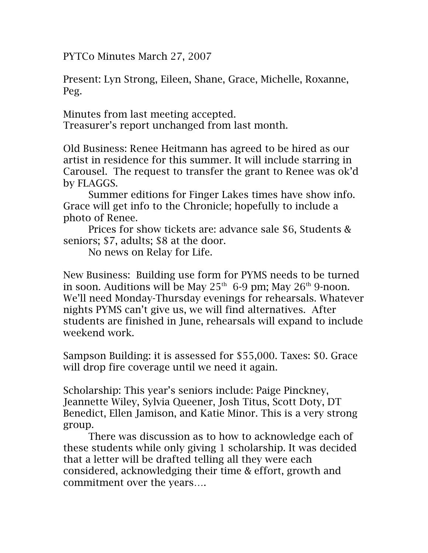PYTCo Minutes March 27, 2007

Present: Lyn Strong, Eileen, Shane, Grace, Michelle, Roxanne, Peg.

Minutes from last meeting accepted. Treasurer's report unchanged from last month.

Old Business: Renee Heitmann has agreed to be hired as our artist in residence for this summer. It will include starring in Carousel. The request to transfer the grant to Renee was ok'd by FLAGGS.

Summer editions for Finger Lakes times have show info. Grace will get info to the Chronicle; hopefully to include a photo of Renee.

Prices for show tickets are: advance sale \$6, Students & seniors; \$7, adults; \$8 at the door.

No news on Relay for Life.

New Business: Building use form for PYMS needs to be turned in soon. Auditions will be May  $25<sup>th</sup>$  6-9 pm; May  $26<sup>th</sup>$  9-noon. We'll need Monday-Thursday evenings for rehearsals. Whatever nights PYMS can't give us, we will find alternatives. After students are finished in June, rehearsals will expand to include weekend work.

Sampson Building: it is assessed for \$55,000. Taxes: \$0. Grace will drop fire coverage until we need it again.

Scholarship: This year's seniors include: Paige Pinckney, Jeannette Wiley, Sylvia Queener, Josh Titus, Scott Doty, DT Benedict, Ellen Jamison, and Katie Minor. This is a very strong group.

There was discussion as to how to acknowledge each of these students while only giving 1 scholarship. It was decided that a letter will be drafted telling all they were each considered, acknowledging their time & effort, growth and commitment over the years….